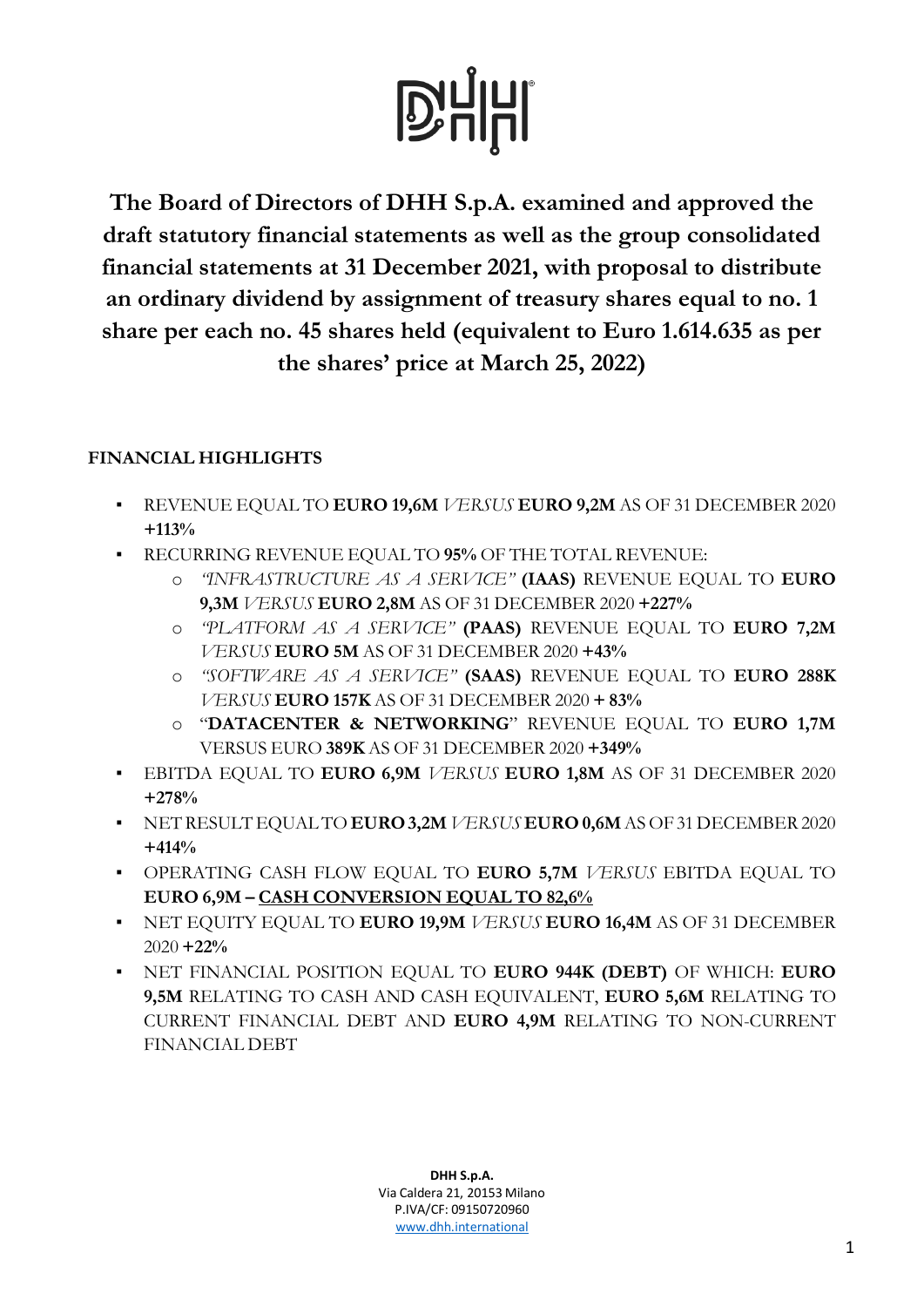**The Board of Directors of DHH S.p.A. examined and approved the draft statutory financial statements as well as the group consolidated financial statements at 31 December 2021, with proposal to distribute an ordinary dividend by assignment of treasury shares equal to no. 1 share per each no. 45 shares held (equivalent to Euro 1.614.635 as per the shares' price at March 25, 2022)**

### **FINANCIAL HIGHLIGHTS**

- REVENUE EQUAL TO **EURO 19,6M** *VERSUS* **EURO 9,2M** AS OF 31 DECEMBER 2020 **+113%**
- RECURRING REVENUE EQUAL TO **95%** OF THE TOTAL REVENUE:
	- o *"INFRASTRUCTURE AS A SERVICE"* **(IAAS)** REVENUE EQUAL TO **EURO 9,3M** *VERSUS* **EURO 2,8M** AS OF 31 DECEMBER 2020 **+227%**
	- o *"PLATFORM AS A SERVICE"* **(PAAS)** REVENUE EQUAL TO **EURO 7,2M** *VERSUS* **EURO 5M** AS OF 31 DECEMBER 2020 **+43%**
	- o *"SOFTWARE AS A SERVICE"* **(SAAS)** REVENUE EQUAL TO **EURO 288K** *VERSUS* **EURO 157K** AS OF 31 DECEMBER 2020 **+ 83%**
	- o "**DATACENTER & NETWORKING**" REVENUE EQUAL TO **EURO 1,7M** VERSUS EURO **389K** AS OF 31 DECEMBER 2020 **+349%**
- EBITDA EQUAL TO **EURO 6,9M** *VERSUS* **EURO 1,8M** AS OF 31 DECEMBER 2020 **+278%**
- NET RESULT EQUALTO **EURO3,2M** *VERSUS* **EURO 0,6M** AS OF31DECEMBER 2020 **+414%**
- OPERATING CASH FLOW EQUAL TO **EURO 5,7M** *VERSUS* EBITDA EQUAL TO **EURO 6,9M – CASH CONVERSION EQUAL TO 82,6%**
- NET EQUITY EQUAL TO **EURO 19,9M** *VERSUS* **EURO 16,4M** AS OF 31 DECEMBER 2020 **+22%**
- NET FINANCIAL POSITION EQUAL TO **EURO 944K (DEBT)** OF WHICH: **EURO 9,5M** RELATING TO CASH AND CASH EQUIVALENT, **EURO 5,6M** RELATING TO CURRENT FINANCIAL DEBT AND **EURO 4,9M** RELATING TO NON-CURRENT FINANCIAL DEBT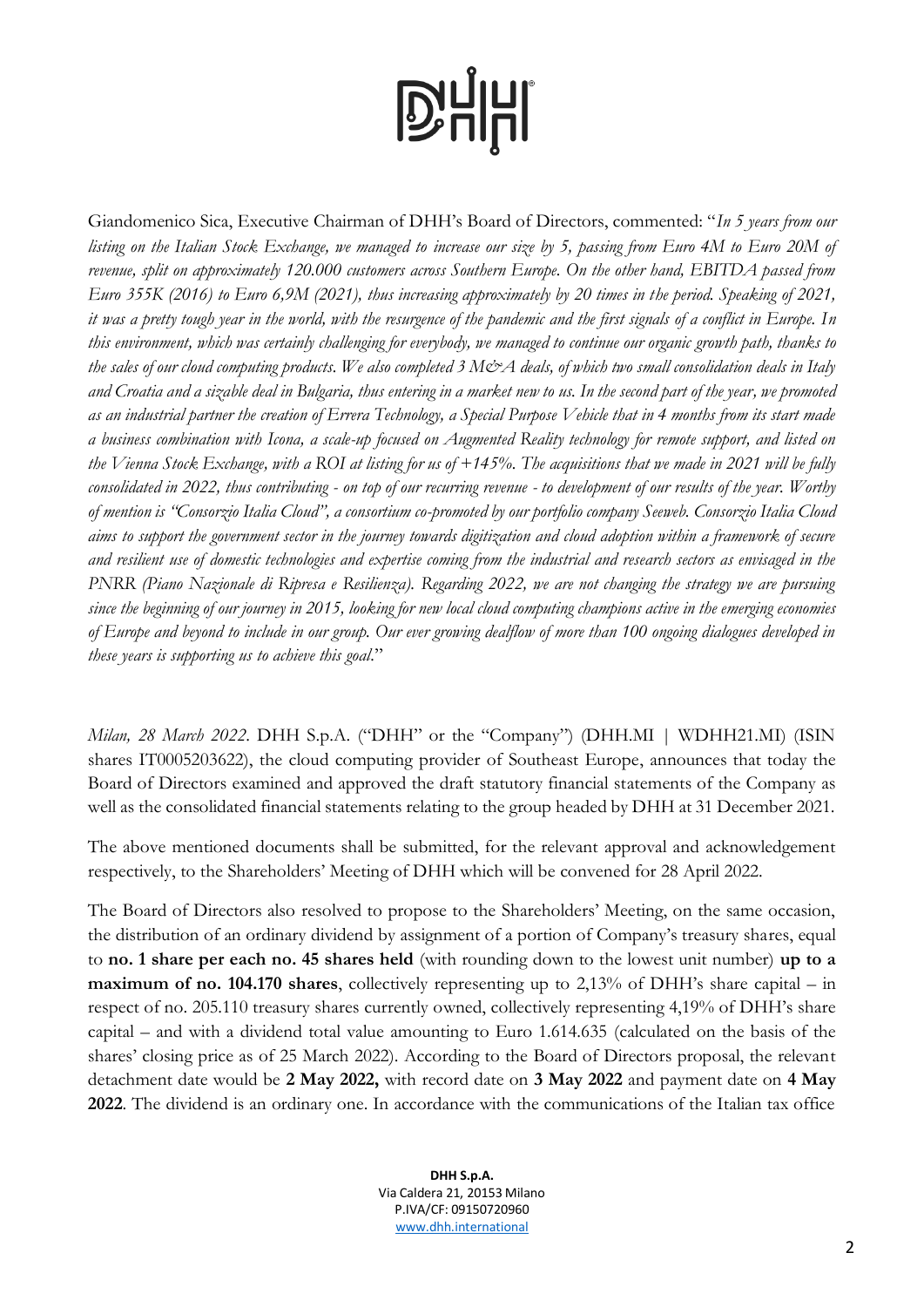Giandomenico Sica, Executive Chairman of DHH's Board of Directors, commented: "*In 5 years from our listing on the Italian Stock Exchange, we managed to increase our size by 5, passing from Euro 4M to Euro 20M of revenue, split on approximately 120.000 customers across Southern Europe. On the other hand, EBITDA passed from Euro 355K (2016) to Euro 6,9M (2021), thus increasing approximately by 20 times in the period. Speaking of 2021, it was a pretty tough year in the world, with the resurgence of the pandemic and the first signals of a conflict in Europe. In this environment, which was certainly challenging for everybody, we managed to continue our organic growth path, thanks to*  the sales of our cloud computing products. We also completed 3 M&A deals, of which two small consolidation deals in Italy *and Croatia and a sizable deal in Bulgaria, thus entering in a market new to us. In the second part of the year, we promoted as an industrial partner the creation of Errera Technology, a Special Purpose Vehicle that in 4 months from its start made a business combination with Icona, a scale-up focused on Augmented Reality technology for remote support, and listed on the Vienna Stock Exchange, with a ROI at listing for us of +145%. The acquisitions that we made in 2021 will be fully consolidated in 2022, thus contributing - on top of our recurring revenue - to development of our results of the year. Worthy of mention is "Consorzio Italia Cloud", a consortium co-promoted by our portfolio company Seeweb. Consorzio Italia Cloud aims to support the government sector in the journey towards digitization and cloud adoption within a framework of secure and resilient use of domestic technologies and expertise coming from the industrial and research sectors as envisaged in the PNRR (Piano Nazionale di Ripresa e Resilienza). Regarding 2022, we are not changing the strategy we are pursuing since the beginning of our journey in 2015, looking for new local cloud computing champions active in the emerging economies of Europe and beyond to include in our group. Our ever growing dealflow of more than 100 ongoing dialogues developed in these years is supporting us to achieve this goal.*"

*Milan, 28 March 2022*. DHH S.p.A. ("DHH" or the "Company") (DHH.MI | WDHH21.MI) (ISIN shares IT0005203622), the cloud computing provider of Southeast Europe, announces that today the Board of Directors examined and approved the draft statutory financial statements of the Company as well as the consolidated financial statements relating to the group headed by DHH at 31 December 2021.

The above mentioned documents shall be submitted, for the relevant approval and acknowledgement respectively, to the Shareholders' Meeting of DHH which will be convened for 28 April 2022.

The Board of Directors also resolved to propose to the Shareholders' Meeting, on the same occasion, the distribution of an ordinary dividend by assignment of a portion of Company's treasury shares, equal to **no. 1 share per each no. 45 shares held** (with rounding down to the lowest unit number) **up to a maximum of no. 104.170 shares**, collectively representing up to 2,13% of DHH's share capital – in respect of no. 205.110 treasury shares currently owned, collectively representing 4,19% of DHH's share capital – and with a dividend total value amounting to Euro 1.614.635 (calculated on the basis of the shares' closing price as of 25 March 2022). According to the Board of Directors proposal, the relevant detachment date would be **2 May 2022,** with record date on **3 May 2022** and payment date on **4 May 2022**. The dividend is an ordinary one. In accordance with the communications of the Italian tax office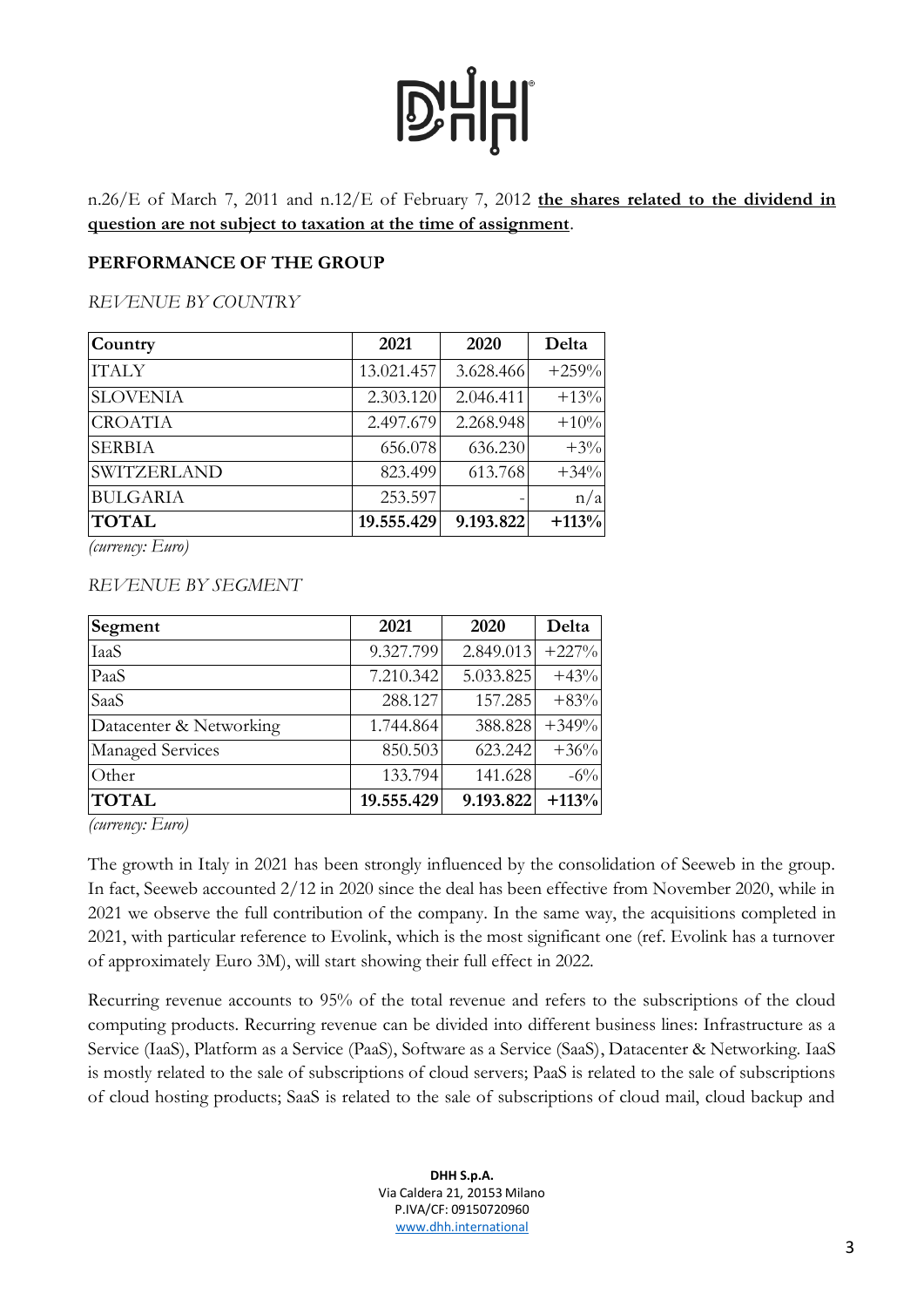n.26/E of March 7, 2011 and n.12/E of February 7, 2012 **the shares related to the dividend in question are not subject to taxation at the time of assignment**.

#### **PERFORMANCE OF THE GROUP**

*REVENUE BY COUNTRY*

| Country            | 2021       | 2020      | Delta   |
|--------------------|------------|-----------|---------|
| <b>ITALY</b>       | 13.021.457 | 3.628.466 | $+259%$ |
| <b>SLOVENIA</b>    | 2.303.120  | 2.046.411 | $+13%$  |
| <b>CROATIA</b>     | 2.497.679  | 2.268.948 | $+10%$  |
| <b>SERBIA</b>      | 656.078    | 636.230   | $+3\%$  |
| <b>SWITZERLAND</b> | 823.499    | 613.768   | $+34%$  |
| <b>BULGARIA</b>    | 253.597    |           | n/a     |
| <b>TOTAL</b>       | 19.555.429 | 9.193.822 | $+113%$ |

*(currency: Euro)*

#### *REVENUE BY SEGMENT*

| Segment                 | 2021       | 2020      | Delta   |
|-------------------------|------------|-----------|---------|
| <b>IaaS</b>             | 9.327.799  | 2.849.013 | $+227%$ |
| PaaS                    | 7.210.342  | 5.033.825 | $+43%$  |
| SaaS                    | 288.127    | 157.285   | $+83%$  |
| Datacenter & Networking | 1.744.864  | 388.828   | $+349%$ |
| Managed Services        | 850.503    | 623.242   | $+36%$  |
| Other                   | 133.794    | 141.628   | $-6\%$  |
| <b>TOTAL</b>            | 19.555.429 | 9.193.822 | $+113%$ |

*(currency: Euro)*

The growth in Italy in 2021 has been strongly influenced by the consolidation of Seeweb in the group. In fact, Seeweb accounted 2/12 in 2020 since the deal has been effective from November 2020, while in 2021 we observe the full contribution of the company. In the same way, the acquisitions completed in 2021, with particular reference to Evolink, which is the most significant one (ref. Evolink has a turnover of approximately Euro 3M), will start showing their full effect in 2022.

Recurring revenue accounts to 95% of the total revenue and refers to the subscriptions of the cloud computing products. Recurring revenue can be divided into different business lines: Infrastructure as a Service (IaaS), Platform as a Service (PaaS), Software as a Service (SaaS), Datacenter & Networking. IaaS is mostly related to the sale of subscriptions of cloud servers; PaaS is related to the sale of subscriptions of cloud hosting products; SaaS is related to the sale of subscriptions of cloud mail, cloud backup and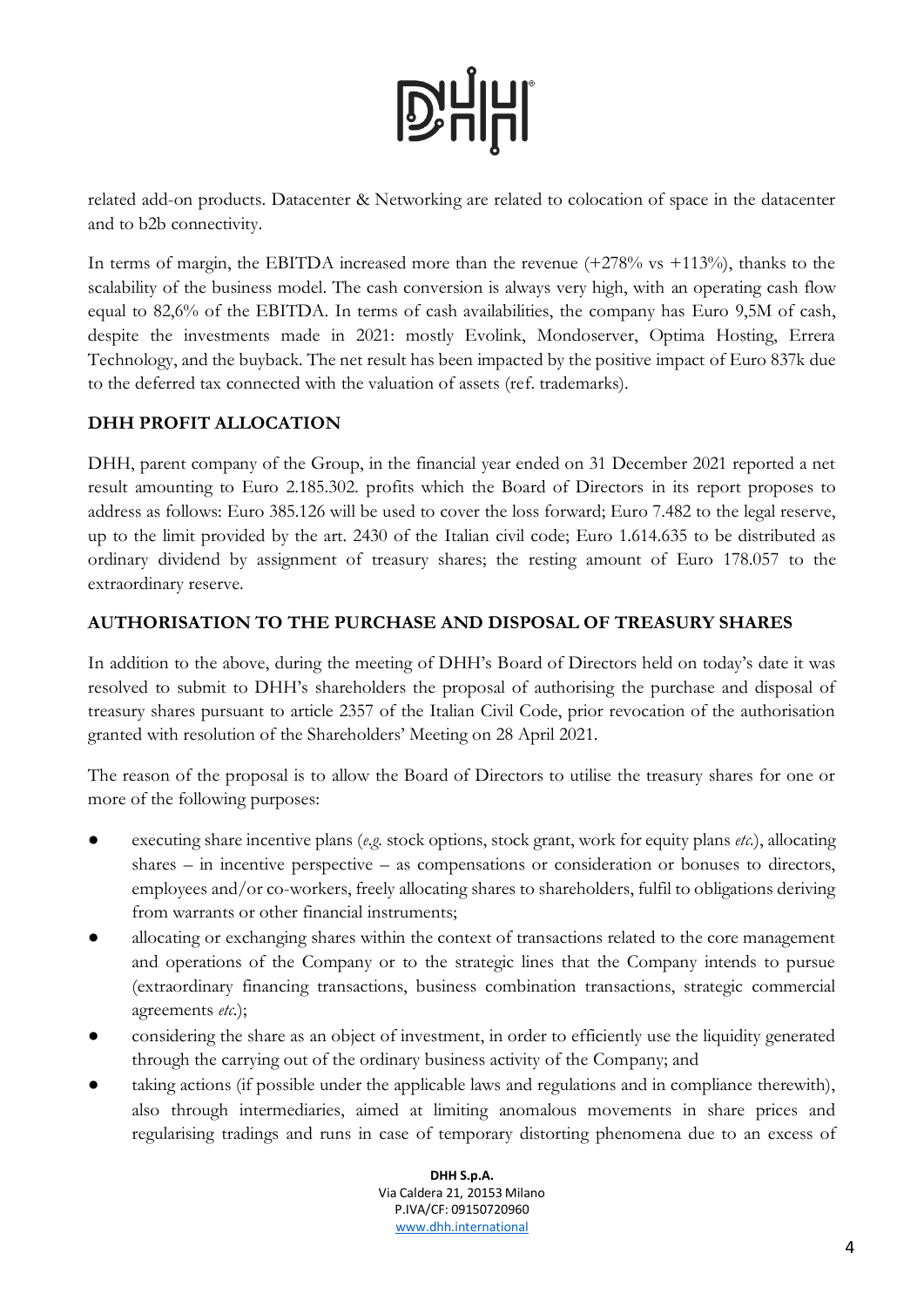related add-on products. Datacenter & Networking are related to colocation of space in the datacenter and to b2b connectivity.

In terms of margin, the EBITDA increased more than the revenue  $(+278\% \text{ vs } +113\%)$ , thanks to the scalability of the business model. The cash conversion is always very high, with an operating cash flow equal to 82,6% of the EBITDA. In terms of cash availabilities, the company has Euro 9,5M of cash, despite the investments made in 2021: mostly Evolink, Mondoserver, Optima Hosting, Errera Technology, and the buyback. The net result has been impacted by the positive impact of Euro 837k due to the deferred tax connected with the valuation of assets (ref. trademarks).

### **DHH PROFIT ALLOCATION**

DHH, parent company of the Group, in the financial year ended on 31 December 2021 reported a net result amounting to Euro 2.185.302. profits which the Board of Directors in its report proposes to address as follows: Euro 385.126 will be used to cover the loss forward; Euro 7.482 to the legal reserve, up to the limit provided by the art. 2430 of the Italian civil code; Euro 1.614.635 to be distributed as ordinary dividend by assignment of treasury shares; the resting amount of Euro 178.057 to the extraordinary reserve.

### **AUTHORISATION TO THE PURCHASE AND DISPOSAL OF TREASURY SHARES**

In addition to the above, during the meeting of DHH's Board of Directors held on today's date it was resolved to submit to DHH's shareholders the proposal of authorising the purchase and disposal of treasury shares pursuant to article 2357 of the Italian Civil Code, prior revocation of the authorisation granted with resolution of the Shareholders' Meeting on 28 April 2021.

The reason of the proposal is to allow the Board of Directors to utilise the treasury shares for one or more of the following purposes:

- executing share incentive plans (*e.g.* stock options, stock grant, work for equity plans *etc.*), allocating shares – in incentive perspective – as compensations or consideration or bonuses to directors, employees and/or co-workers, freely allocating shares to shareholders, fulfil to obligations deriving from warrants or other financial instruments;
- allocating or exchanging shares within the context of transactions related to the core management and operations of the Company or to the strategic lines that the Company intends to pursue (extraordinary financing transactions, business combination transactions, strategic commercial agreements *etc.*);
- considering the share as an object of investment, in order to efficiently use the liquidity generated through the carrying out of the ordinary business activity of the Company; and
- taking actions (if possible under the applicable laws and regulations and in compliance therewith), also through intermediaries, aimed at limiting anomalous movements in share prices and regularising tradings and runs in case of temporary distorting phenomena due to an excess of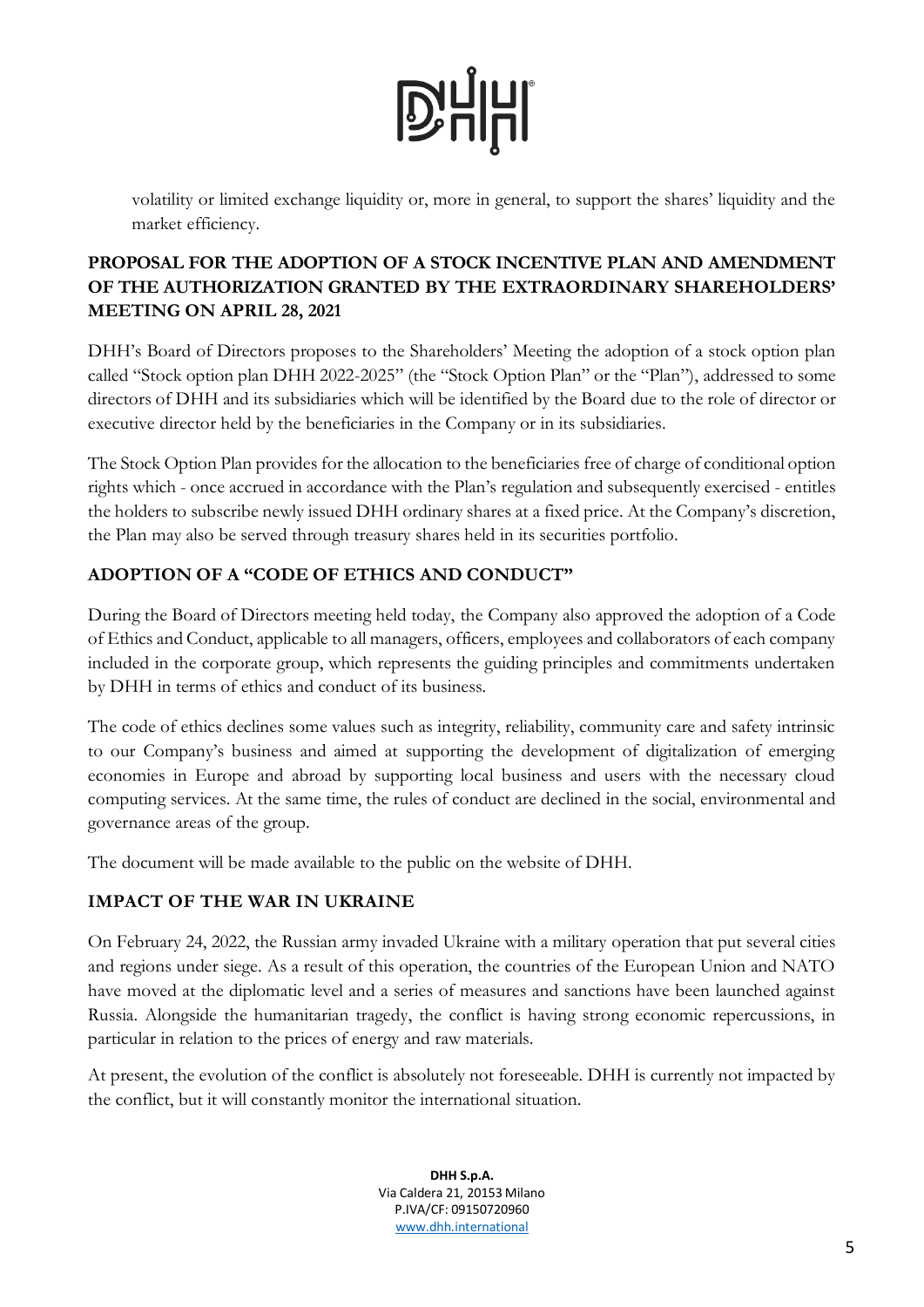

volatility or limited exchange liquidity or, more in general, to support the shares' liquidity and the market efficiency.

### **PROPOSAL FOR THE ADOPTION OF A STOCK INCENTIVE PLAN AND AMENDMENT OF THE AUTHORIZATION GRANTED BY THE EXTRAORDINARY SHAREHOLDERS' MEETING ON APRIL 28, 2021**

DHH's Board of Directors proposes to the Shareholders' Meeting the adoption of a stock option plan called "Stock option plan DHH 2022-2025" (the "Stock Option Plan" or the "Plan"), addressed to some directors of DHH and its subsidiaries which will be identified by the Board due to the role of director or executive director held by the beneficiaries in the Company or in its subsidiaries.

The Stock Option Plan provides for the allocation to the beneficiaries free of charge of conditional option rights which - once accrued in accordance with the Plan's regulation and subsequently exercised - entitles the holders to subscribe newly issued DHH ordinary shares at a fixed price. At the Company's discretion, the Plan may also be served through treasury shares held in its securities portfolio.

### **ADOPTION OF A "CODE OF ETHICS AND CONDUCT"**

During the Board of Directors meeting held today, the Company also approved the adoption of a Code of Ethics and Conduct, applicable to all managers, officers, employees and collaborators of each company included in the corporate group, which represents the guiding principles and commitments undertaken by DHH in terms of ethics and conduct of its business.

The code of ethics declines some values such as integrity, reliability, community care and safety intrinsic to our Company's business and aimed at supporting the development of digitalization of emerging economies in Europe and abroad by supporting local business and users with the necessary cloud computing services. At the same time, the rules of conduct are declined in the social, environmental and governance areas of the group.

The document will be made available to the public on the website of DHH.

### **IMPACT OF THE WAR IN UKRAINE**

On February 24, 2022, the Russian army invaded Ukraine with a military operation that put several cities and regions under siege. As a result of this operation, the countries of the European Union and NATO have moved at the diplomatic level and a series of measures and sanctions have been launched against Russia. Alongside the humanitarian tragedy, the conflict is having strong economic repercussions, in particular in relation to the prices of energy and raw materials.

At present, the evolution of the conflict is absolutely not foreseeable. DHH is currently not impacted by the conflict, but it will constantly monitor the international situation.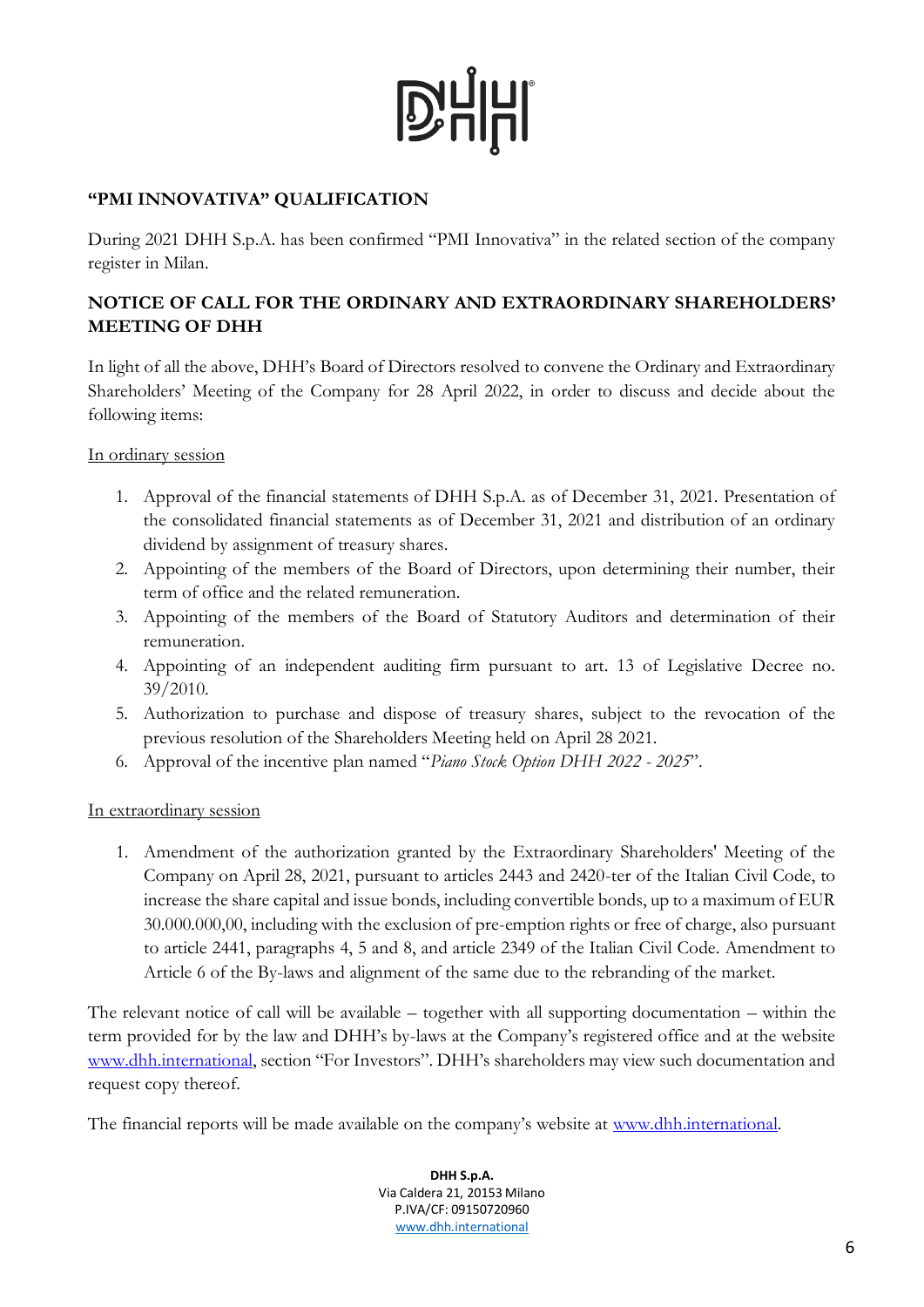### **"PMI INNOVATIVA" QUALIFICATION**

During 2021 DHH S.p.A. has been confirmed "PMI Innovativa" in the related section of the company register in Milan.

### **NOTICE OF CALL FOR THE ORDINARY AND EXTRAORDINARY SHAREHOLDERS' MEETING OF DHH**

In light of all the above, DHH's Board of Directors resolved to convene the Ordinary and Extraordinary Shareholders' Meeting of the Company for 28 April 2022, in order to discuss and decide about the following items:

#### In ordinary session

- 1. Approval of the financial statements of DHH S.p.A. as of December 31, 2021. Presentation of the consolidated financial statements as of December 31, 2021 and distribution of an ordinary dividend by assignment of treasury shares.
- 2. Appointing of the members of the Board of Directors, upon determining their number, their term of office and the related remuneration.
- 3. Appointing of the members of the Board of Statutory Auditors and determination of their remuneration.
- 4. Appointing of an independent auditing firm pursuant to art. 13 of Legislative Decree no. 39/2010.
- 5. Authorization to purchase and dispose of treasury shares, subject to the revocation of the previous resolution of the Shareholders Meeting held on April 28 2021.
- 6. Approval of the incentive plan named "*Piano Stock Option DHH 2022 - 2025*".

#### In extraordinary session

1. Amendment of the authorization granted by the Extraordinary Shareholders' Meeting of the Company on April 28, 2021, pursuant to articles 2443 and 2420-ter of the Italian Civil Code, to increase the share capital and issue bonds, including convertible bonds, up to a maximum of EUR 30.000.000,00, including with the exclusion of pre-emption rights or free of charge, also pursuant to article 2441, paragraphs 4, 5 and 8, and article 2349 of the Italian Civil Code. Amendment to Article 6 of the By-laws and alignment of the same due to the rebranding of the market.

The relevant notice of call will be available – together with all supporting documentation – within the term provided for by the law and DHH's by-laws at the Company's registered office and at the website [www.dhh.international](http://www.dhh.international/), section "For Investors". DHH's shareholders may view such documentation and request copy thereof.

The financial reports will be made available on the company's website at [www.dhh.international.](http://www.dhh.international/)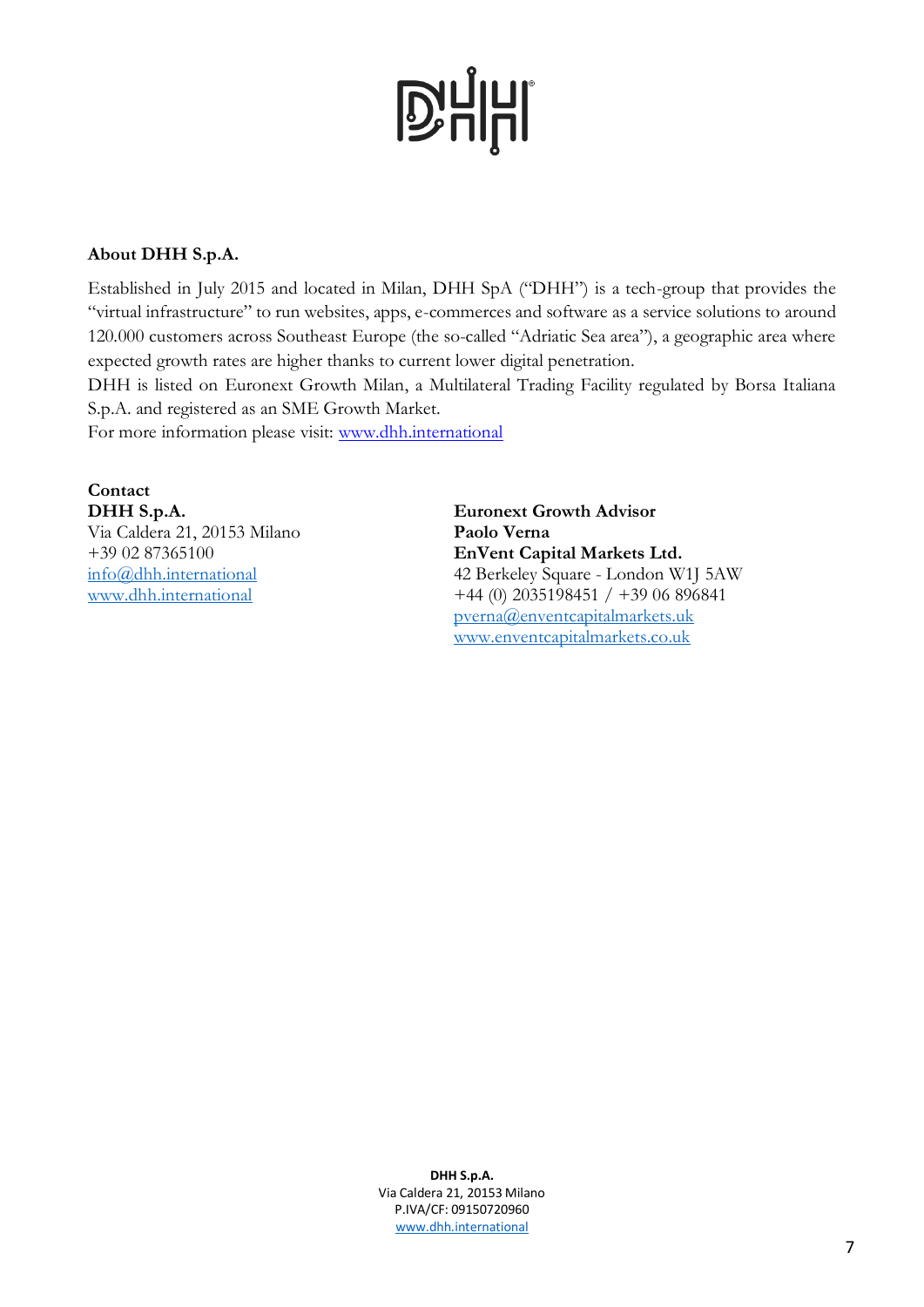#### **About DHH S.p.A.**

Established in July 2015 and located in Milan, DHH SpA ("DHH") is a tech-group that provides the "virtual infrastructure" to run websites, apps, e-commerces and software as a service solutions to around 120.000 customers across Southeast Europe (the so-called "Adriatic Sea area"), a geographic area where expected growth rates are higher thanks to current lower digital penetration.

DHH is listed on Euronext Growth Milan, a Multilateral Trading Facility regulated by Borsa Italiana S.p.A. and registered as an SME Growth Market.

For more information please visit: [www.dhh.international](http://www.dhh.international/)

#### **Contact DHH S.p.A.** Via Caldera 21, 20153 Milano +39 02 87365100 [info@dhh.international](mailto:info@dhh.international) [www.dhh.international](http://www.dhh.international/)

**Euronext Growth Advisor Paolo Verna EnVent Capital Markets Ltd.** 42 Berkeley Square - London W1J 5AW +44 (0) 2035198451 / +39 06 896841 [pverna@enventcapitalmarkets.uk](mailto:pverna@enventcapitalmarkets.uk) [www.enventcapitalmarkets.co.uk](http://www.enventcapitalmarkets.co.uk/)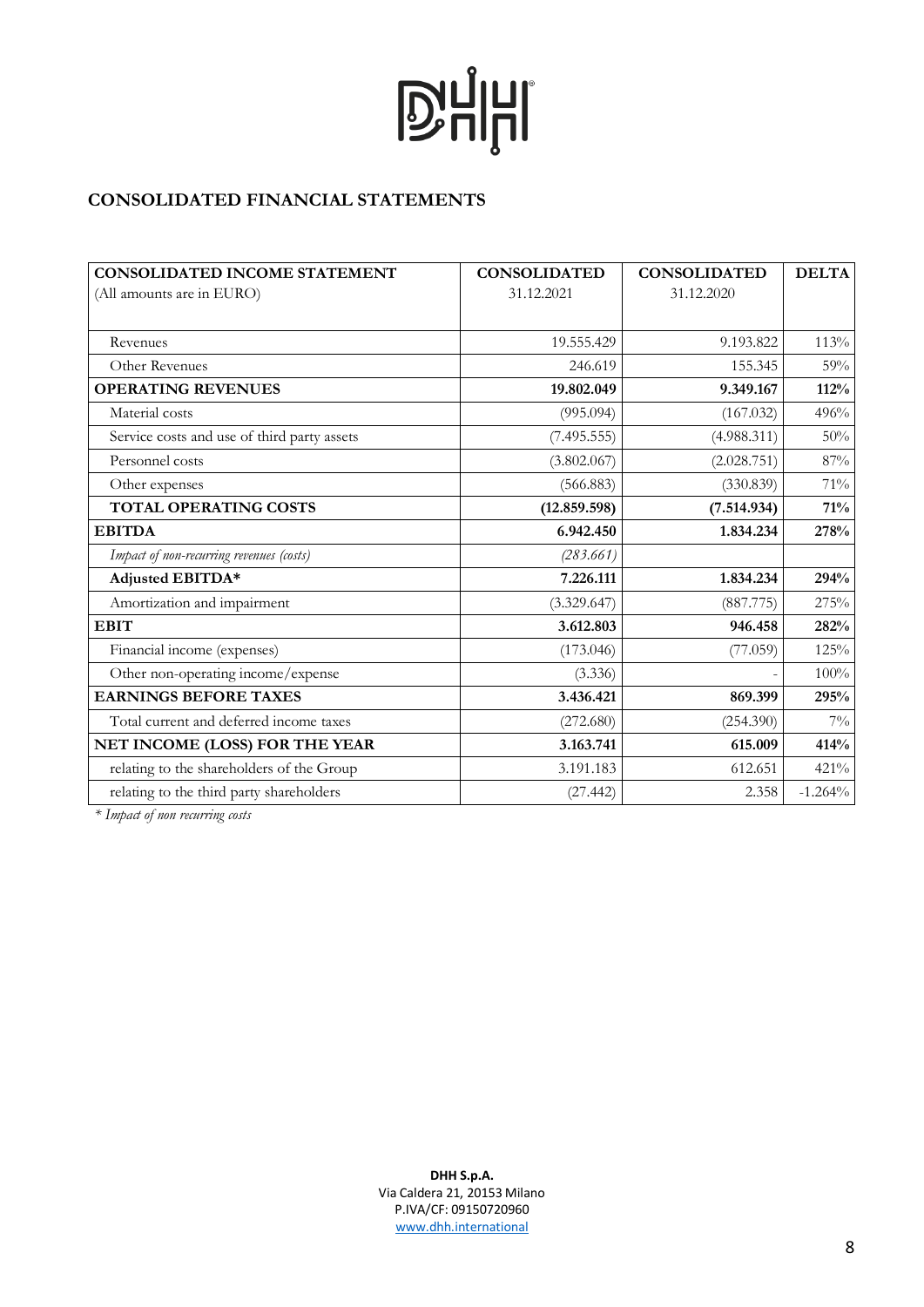### **CONSOLIDATED FINANCIAL STATEMENTS**

| <b>CONSOLIDATED INCOME STATEMENT</b>        | <b>CONSOLIDATED</b> | <b>CONSOLIDATED</b> | <b>DELTA</b> |
|---------------------------------------------|---------------------|---------------------|--------------|
| (All amounts are in EURO)                   | 31.12.2021          | 31.12.2020          |              |
|                                             |                     |                     |              |
| Revenues                                    | 19.555.429          | 9.193.822           | 113%         |
| Other Revenues                              | 246.619             | 155.345             | 59%          |
| <b>OPERATING REVENUES</b>                   | 19.802.049          | 9.349.167           | 112%         |
| Material costs                              | (995.094)           | (167.032)           | 496%         |
| Service costs and use of third party assets | (7.495.555)         | (4.988.311)         | 50%          |
| Personnel costs                             | (3.802.067)         | (2.028.751)         | 87%          |
| Other expenses                              | (566.883)           | (330.839)           | 71%          |
| TOTAL OPERATING COSTS                       | (12.859.598)        | (7.514.934)         | 71%          |
| <b>EBITDA</b>                               | 6.942.450           | 1.834.234           | 278%         |
| Impact of non-recurring revenues (costs)    | (283.661)           |                     |              |
| Adjusted EBITDA*                            | 7.226.111           | 1.834.234           | 294%         |
| Amortization and impairment                 | (3.329.647)         | (887.775)           | 275%         |
| <b>EBIT</b>                                 | 3.612.803           | 946.458             | 282%         |
| Financial income (expenses)                 | (173.046)           | (77.059)            | 125%         |
| Other non-operating income/expense          | (3.336)             |                     | 100%         |
| <b>EARNINGS BEFORE TAXES</b>                | 3.436.421           | 869.399             | 295%         |
| Total current and deferred income taxes     | (272.680)           | (254.390)           | $7\%$        |
| NET INCOME (LOSS) FOR THE YEAR              | 3.163.741           | 615.009             | 414%         |
| relating to the shareholders of the Group   | 3.191.183           | 612.651             | 421%         |
| relating to the third party shareholders    | (27.442)            | 2.358               | $-1.264%$    |

*\* Impact of non recurring costs*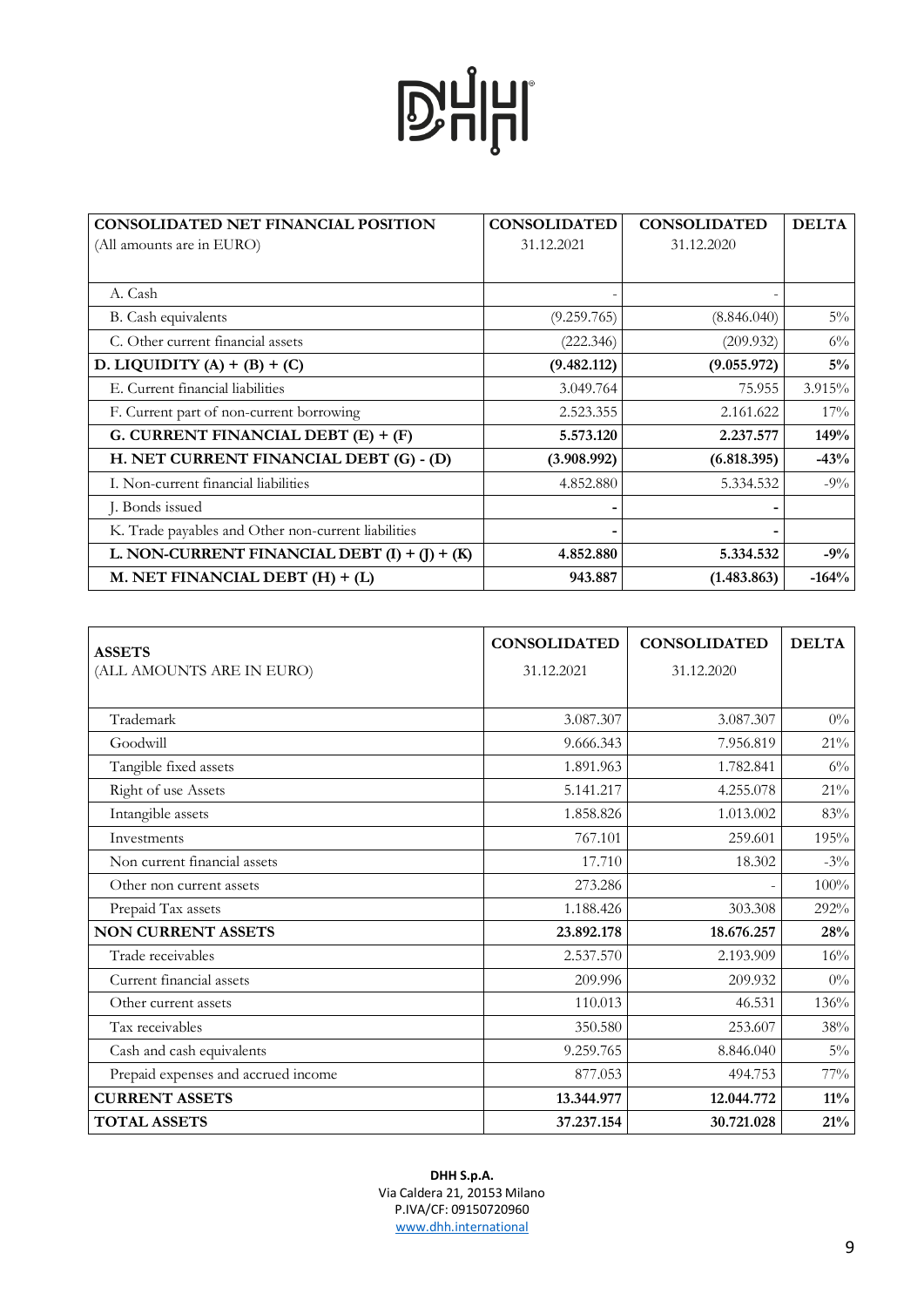| <b>CONSOLIDATED NET FINANCIAL POSITION</b>          | <b>CONSOLIDATED</b> | <b>CONSOLIDATED</b> | <b>DELTA</b> |
|-----------------------------------------------------|---------------------|---------------------|--------------|
| (All amounts are in EURO)                           | 31.12.2021          | 31.12.2020          |              |
|                                                     |                     |                     |              |
| A. Cash                                             | $\qquad \qquad$     |                     |              |
| B. Cash equivalents                                 | (9.259.765)         | (8.846.040)         | $5\%$        |
| C. Other current financial assets                   | (222.346)           | (209.932)           | $6\%$        |
| D. LIQUIDITY (A) + (B) + (C)                        | (9.482.112)         | (9.055.972)         | $5\%$        |
| E. Current financial liabilities                    | 3.049.764           | 75.955              | 3.915%       |
| F. Current part of non-current borrowing            | 2.523.355           | 2.161.622           | $17\%$       |
| G. CURRENT FINANCIAL DEBT $(E) + (F)$               | 5.573.120           | 2.237.577           | 149%         |
| H. NET CURRENT FINANCIAL DEBT (G) - (D)             | (3.908.992)         | (6.818.395)         | $-43%$       |
| I. Non-current financial liabilities                | 4.852.880           | 5.334.532           | $-9\%$       |
| J. Bonds issued                                     |                     |                     |              |
| K. Trade payables and Other non-current liabilities |                     |                     |              |
| L. NON-CURRENT FINANCIAL DEBT $(I) + (J) + (K)$     | 4.852.880           | 5.334.532           | $-9\%$       |
| M. NET FINANCIAL DEBT (H) + (L)                     | 943.887             | (1.483.863)         | $-164%$      |

| <b>ASSETS</b>                       | <b>CONSOLIDATED</b> | <b>CONSOLIDATED</b> | <b>DELTA</b> |
|-------------------------------------|---------------------|---------------------|--------------|
| (ALL AMOUNTS ARE IN EURO)           | 31.12.2021          | 31.12.2020          |              |
|                                     |                     |                     |              |
| Trademark                           | 3.087.307           | 3.087.307           | $0\%$        |
| Goodwill                            | 9.666.343           | 7.956.819           | $21\%$       |
| Tangible fixed assets               | 1.891.963           | 1.782.841           | $6\%$        |
| Right of use Assets                 | 5.141.217           | 4.255.078           | $21\%$       |
| Intangible assets                   | 1.858.826           | 1.013.002           | 83%          |
| Investments                         | 767.101             | 259.601             | 195%         |
| Non current financial assets        | 17.710              | 18.302              | $-3\%$       |
| Other non current assets            | 273.286             |                     | 100%         |
| Prepaid Tax assets                  | 1.188.426           | 303.308             | 292%         |
| <b>NON CURRENT ASSETS</b>           | 23.892.178          | 18.676.257          | 28%          |
| Trade receivables                   | 2.537.570           | 2.193.909           | 16%          |
| Current financial assets            | 209.996             | 209.932             | $0\%$        |
| Other current assets                | 110.013             | 46.531              | 136%         |
| Tax receivables                     | 350.580             | 253.607             | 38%          |
| Cash and cash equivalents           | 9.259.765           | 8.846.040           | $5\%$        |
| Prepaid expenses and accrued income | 877.053             | 494.753             | 77%          |
| <b>CURRENT ASSETS</b>               | 13.344.977          | 12.044.772          | $11\%$       |
| <b>TOTAL ASSETS</b>                 | 37.237.154          | 30.721.028          | $21\%$       |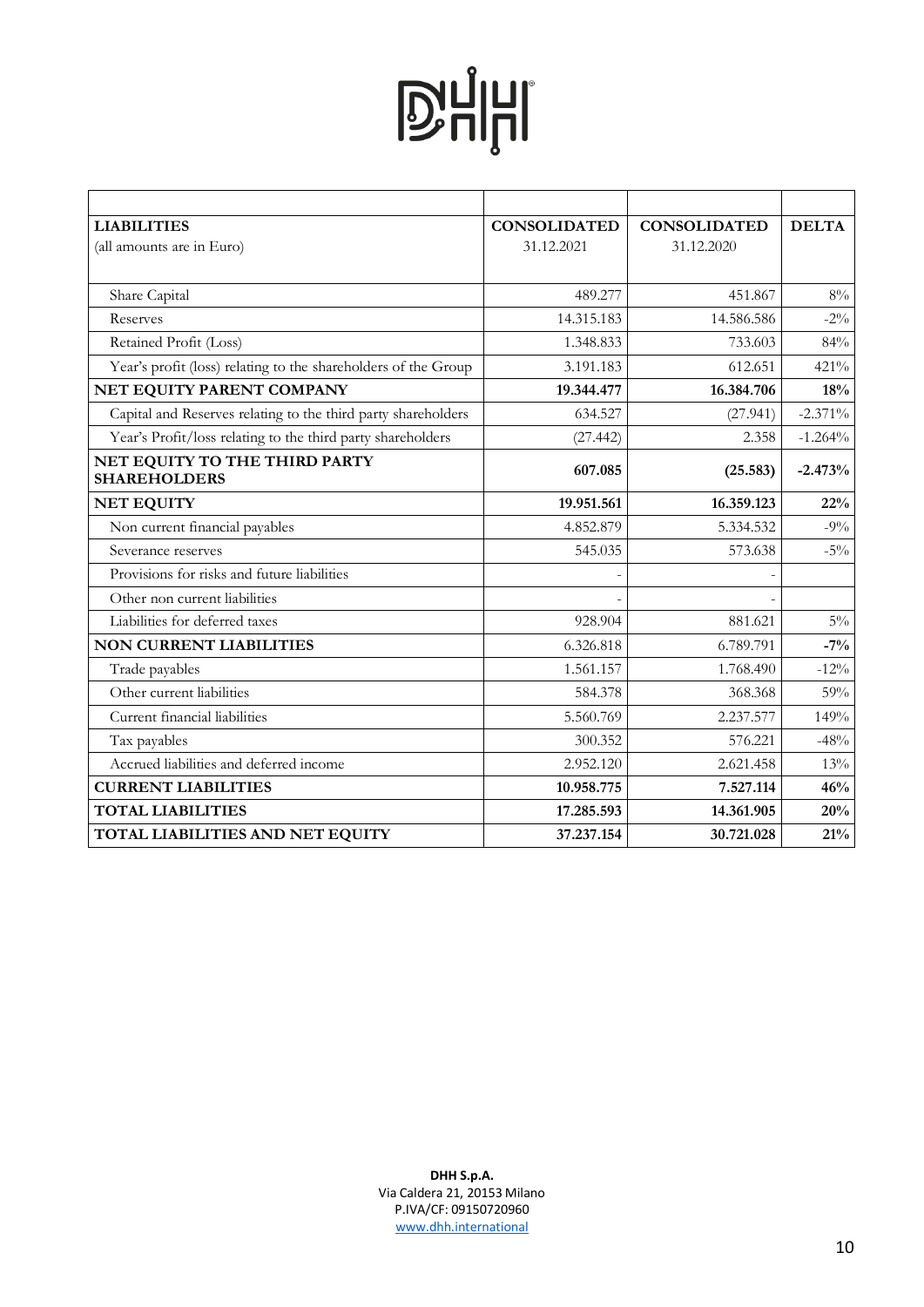| <b>LIABILITIES</b>                                             | <b>CONSOLIDATED</b> | <b>CONSOLIDATED</b> | <b>DELTA</b> |
|----------------------------------------------------------------|---------------------|---------------------|--------------|
| (all amounts are in Euro)                                      | 31.12.2021          | 31.12.2020          |              |
|                                                                |                     |                     |              |
| Share Capital                                                  | 489.277             | 451.867             | $8\%$        |
| Reserves                                                       | 14.315.183          | 14.586.586          | $-2\%$       |
| Retained Profit (Loss)                                         | 1.348.833           | 733.603             | 84%          |
| Year's profit (loss) relating to the shareholders of the Group | 3.191.183           | 612.651             | 421%         |
| NET EQUITY PARENT COMPANY                                      | 19.344.477          | 16.384.706          | 18%          |
| Capital and Reserves relating to the third party shareholders  | 634.527             | (27.941)            | $-2.371\%$   |
| Year's Profit/loss relating to the third party shareholders    | (27.442)            | 2.358               | $-1.264%$    |
| NET EQUITY TO THE THIRD PARTY<br><b>SHAREHOLDERS</b>           | 607.085             | (25.583)            | $-2.473%$    |
| <b>NET EQUITY</b>                                              | 19.951.561          | 16.359.123          | 22%          |
| Non current financial payables                                 | 4.852.879           | 5.334.532           | $-9\%$       |
| Severance reserves                                             | 545.035             | 573.638             | $-5\%$       |
| Provisions for risks and future liabilities                    |                     |                     |              |
| Other non current liabilities                                  |                     |                     |              |
| Liabilities for deferred taxes                                 | 928.904             | 881.621             | $5\%$        |
| <b>NON CURRENT LIABILITIES</b>                                 | 6.326.818           | 6.789.791           | $-7%$        |
| Trade payables                                                 | 1.561.157           | 1.768.490           | $-12%$       |
| Other current liabilities                                      | 584.378             | 368.368             | 59%          |
| Current financial liabilities                                  | 5.560.769           | 2.237.577           | 149%         |
| Tax payables                                                   | 300.352             | 576.221             | $-48%$       |
| Accrued liabilities and deferred income                        | 2.952.120           | 2.621.458           | 13%          |
| <b>CURRENT LIABILITIES</b>                                     | 10.958.775          | 7.527.114           | 46%          |
| <b>TOTAL LIABILITIES</b>                                       | 17.285.593          | 14.361.905          | 20%          |
| TOTAL LIABILITIES AND NET EQUITY                               | 37.237.154          | 30.721.028          | 21%          |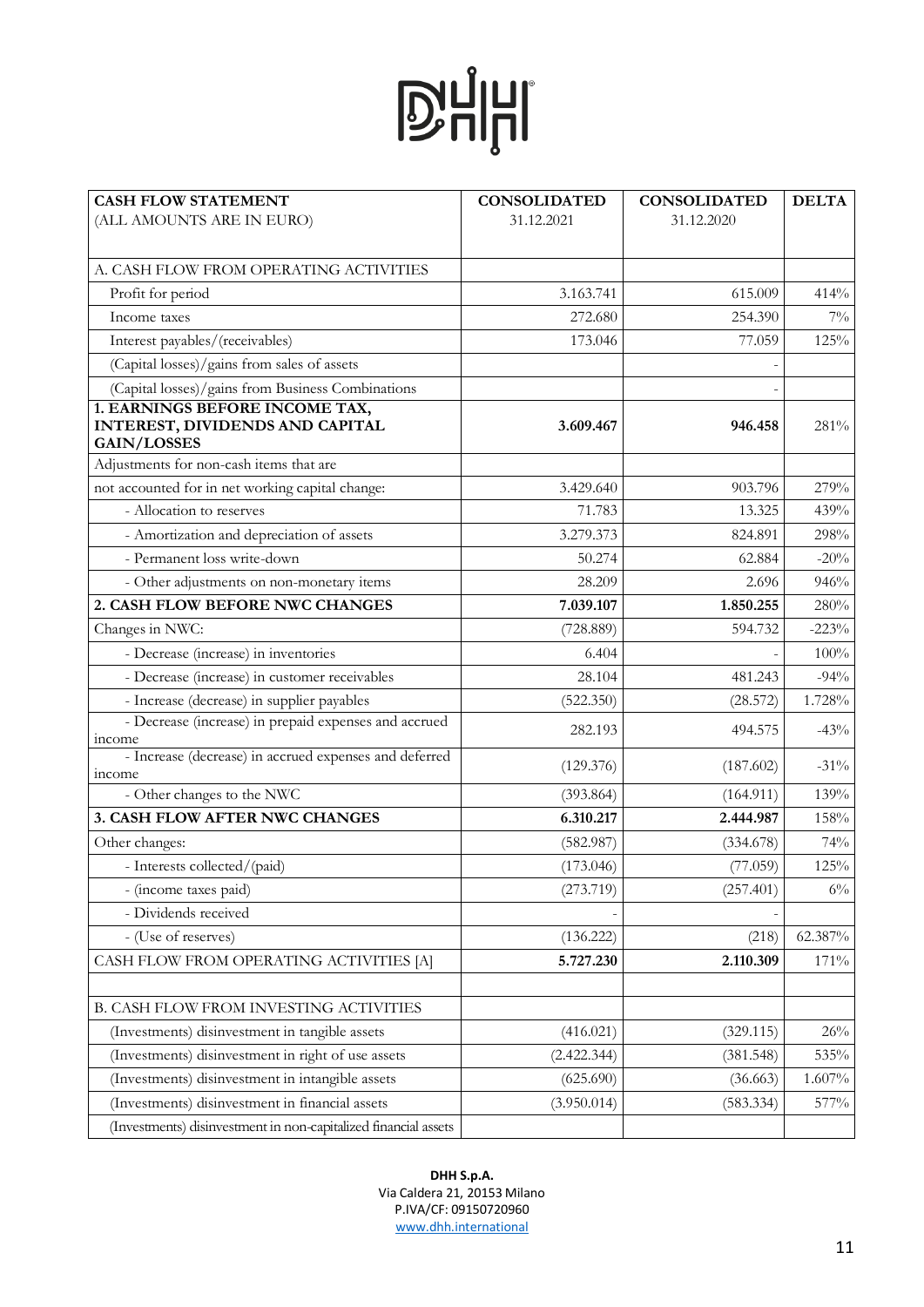| <b>CASH FLOW STATEMENT</b>                                                              | <b>CONSOLIDATED</b> | <b>CONSOLIDATED</b> | <b>DELTA</b> |
|-----------------------------------------------------------------------------------------|---------------------|---------------------|--------------|
| (ALL AMOUNTS ARE IN EURO)                                                               | 31.12.2021          | 31.12.2020          |              |
|                                                                                         |                     |                     |              |
| A. CASH FLOW FROM OPERATING ACTIVITIES                                                  |                     |                     |              |
| Profit for period                                                                       | 3.163.741           | 615.009             | 414%         |
| Income taxes                                                                            | 272.680             | 254.390             | $7\%$        |
| Interest payables/(receivables)                                                         | 173.046             | 77.059              | 125%         |
| (Capital losses)/gains from sales of assets                                             |                     |                     |              |
| (Capital losses)/gains from Business Combinations                                       |                     |                     |              |
| 1. EARNINGS BEFORE INCOME TAX,<br>INTEREST, DIVIDENDS AND CAPITAL<br><b>GAIN/LOSSES</b> | 3.609.467           | 946.458             | 281%         |
| Adjustments for non-cash items that are                                                 |                     |                     |              |
| not accounted for in net working capital change:                                        | 3.429.640           | 903.796             | 279%         |
| - Allocation to reserves                                                                | 71.783              | 13.325              | 439%         |
| - Amortization and depreciation of assets                                               | 3.279.373           | 824.891             | 298%         |
| - Permanent loss write-down                                                             | 50.274              | 62.884              | $-20%$       |
| - Other adjustments on non-monetary items                                               | 28.209              | 2.696               | 946%         |
| 2. CASH FLOW BEFORE NWC CHANGES                                                         | 7.039.107           | 1.850.255           | 280%         |
| Changes in NWC:                                                                         | (728.889)           | 594.732             | $-223%$      |
| - Decrease (increase) in inventories                                                    | 6.404               |                     | $100\%$      |
| - Decrease (increase) in customer receivables                                           | 28.104              | 481.243             | $-94%$       |
| - Increase (decrease) in supplier payables                                              | (522.350)           | (28.572)            | 1.728%       |
| - Decrease (increase) in prepaid expenses and accrued                                   | 282.193             | 494.575             | $-43%$       |
| income<br>- Increase (decrease) in accrued expenses and deferred<br><i>income</i>       | (129.376)           | (187.602)           | $-31\%$      |
| - Other changes to the NWC                                                              | (393.864)           | (164.911)           | 139%         |
| 3. CASH FLOW AFTER NWC CHANGES                                                          | 6.310.217           | 2.444.987           | 158%         |
| Other changes:                                                                          | (582.987)           | (334.678)           | 74%          |
| - Interests collected/(paid)                                                            | (173.046)           | (77.059)            | 125%         |
| - (income taxes paid)                                                                   | (273.719)           | (257.401)           | $6\%$        |
| - Dividends received                                                                    |                     |                     |              |
| - (Use of reserves)                                                                     | (136.222)           | (218)               | 62.387%      |
| CASH FLOW FROM OPERATING ACTIVITIES [A]                                                 | 5.727.230           | 2.110.309           | 171%         |
|                                                                                         |                     |                     |              |
| B. CASH FLOW FROM INVESTING ACTIVITIES                                                  |                     |                     |              |
| (Investments) disinvestment in tangible assets                                          | (416.021)           | (329.115)           | 26%          |
| (Investments) disinvestment in right of use assets                                      | (2.422.344)         | (381.548)           | 535%         |
| (Investments) disinvestment in intangible assets                                        | (625.690)           | (36.663)            | $1.607\%$    |
| (Investments) disinvestment in financial assets                                         | (3.950.014)         | (583.334)           | 577%         |
| (Investments) disinvestment in non-capitalized financial assets                         |                     |                     |              |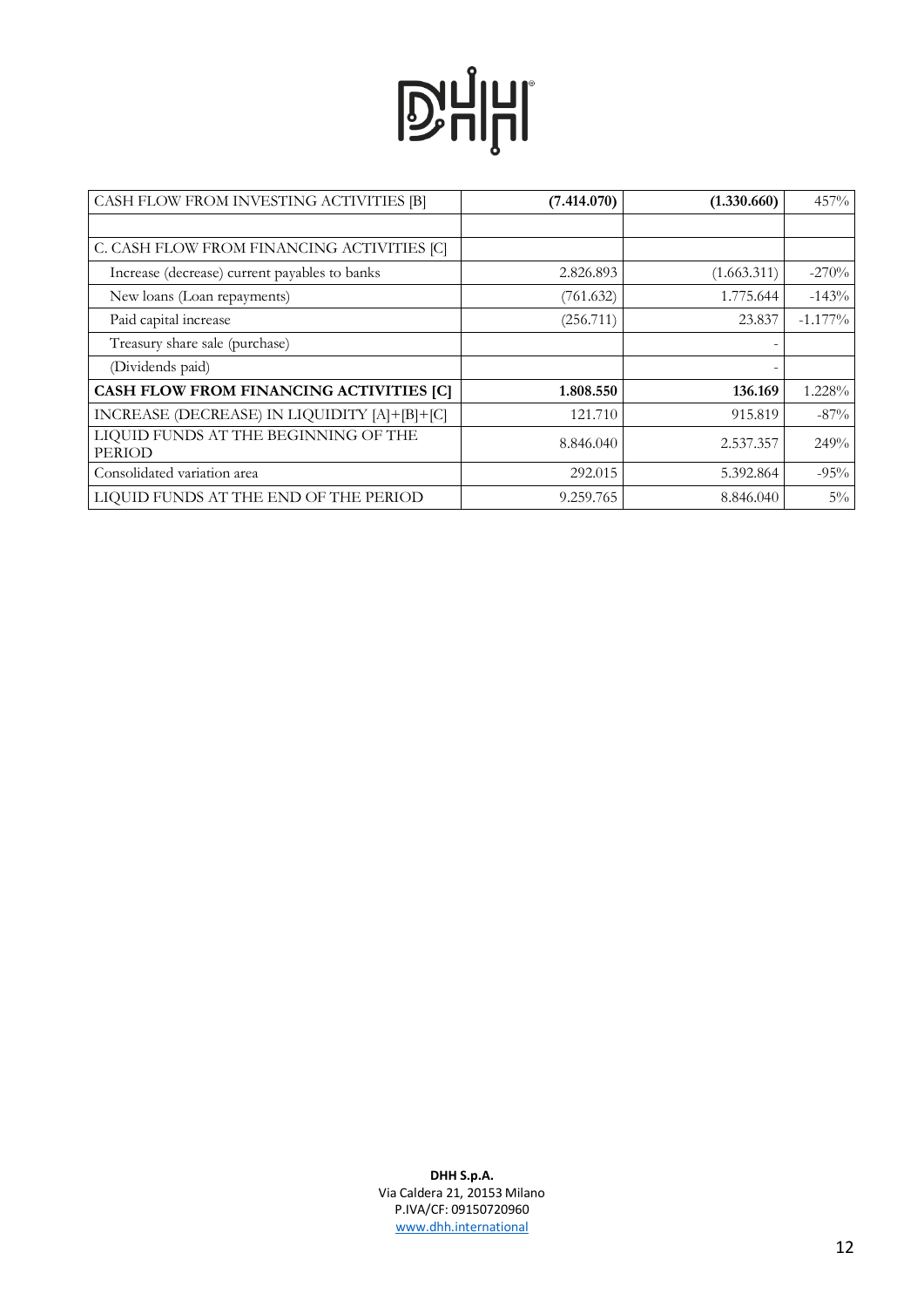| CASH FLOW FROM INVESTING ACTIVITIES [B]               | (7.414.070) | (1.330.660) | 457%       |
|-------------------------------------------------------|-------------|-------------|------------|
|                                                       |             |             |            |
| C. CASH FLOW FROM FINANCING ACTIVITIES [C]            |             |             |            |
| Increase (decrease) current payables to banks         | 2.826.893   | (1.663.311) | $-270%$    |
| New loans (Loan repayments)                           | (761.632)   | 1.775.644   | $-143%$    |
| Paid capital increase                                 | (256.711)   | 23.837      | $-1.177\%$ |
| Treasury share sale (purchase)                        |             |             |            |
| (Dividends paid)                                      |             |             |            |
| CASH FLOW FROM FINANCING ACTIVITIES [C]               | 1.808.550   | 136.169     | 1.228%     |
| INCREASE (DECREASE) IN LIQUIDITY [A]+[B]+[C]          | 121.710     | 915.819     | $-87\%$    |
| LIQUID FUNDS AT THE BEGINNING OF THE<br><b>PERIOD</b> | 8.846.040   | 2.537.357   | 249%       |
| Consolidated variation area                           | 292.015     | 5.392.864   | $-95%$     |
| LIQUID FUNDS AT THE END OF THE PERIOD                 | 9.259.765   | 8.846.040   | $5\%$      |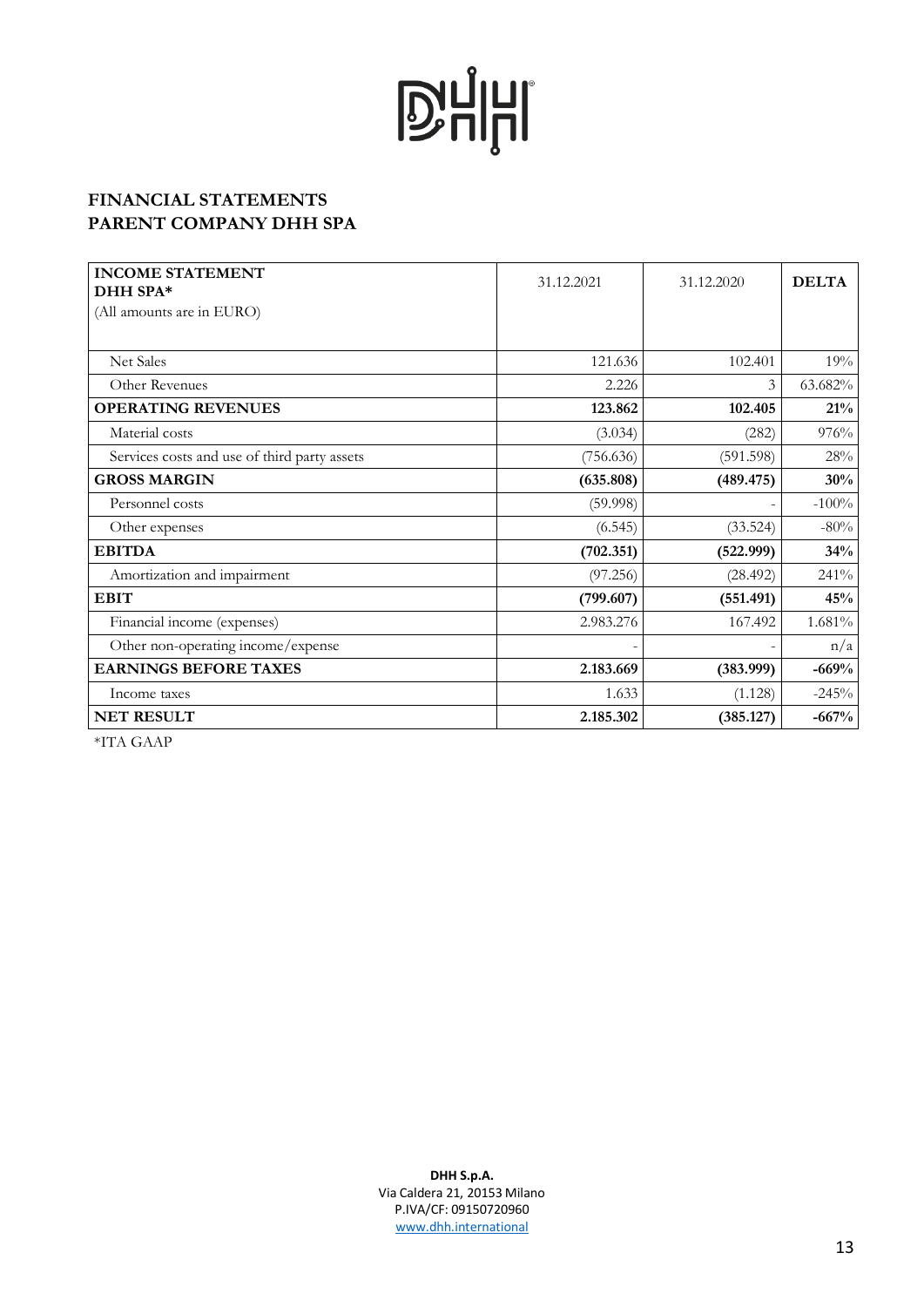### **FINANCIAL STATEMENTS PARENT COMPANY DHH SPA**

| <b>INCOME STATEMENT</b><br>DHH SPA*          | 31.12.2021 | 31.12.2020 | <b>DELTA</b> |
|----------------------------------------------|------------|------------|--------------|
| (All amounts are in EURO)                    |            |            |              |
|                                              |            |            |              |
| Net Sales                                    | 121.636    | 102.401    | 19%          |
| Other Revenues                               | 2.226      | 3          | 63.682%      |
| <b>OPERATING REVENUES</b>                    | 123.862    | 102.405    | 21%          |
| Material costs                               | (3.034)    | (282)      | 976%         |
| Services costs and use of third party assets | (756.636)  | (591.598)  | 28%          |
| <b>GROSS MARGIN</b>                          | (635.808)  | (489.475)  | 30%          |
| Personnel costs                              | (59.998)   |            | $-100%$      |
| Other expenses                               | (6.545)    | (33.524)   | $-80%$       |
| <b>EBITDA</b>                                | (702.351)  | (522.999)  | 34%          |
| Amortization and impairment                  | (97.256)   | (28.492)   | 241%         |
| <b>EBIT</b>                                  | (799.607)  | (551.491)  | 45%          |
| Financial income (expenses)                  | 2.983.276  | 167.492    | 1.681%       |
| Other non-operating income/expense           |            |            | n/a          |
| <b>EARNINGS BEFORE TAXES</b>                 | 2.183.669  | (383.999)  | $-669%$      |
| Income taxes                                 | 1.633      | (1.128)    | $-245%$      |
| <b>NET RESULT</b>                            | 2.185.302  | (385.127)  | $-667%$      |

\*ITA GAAP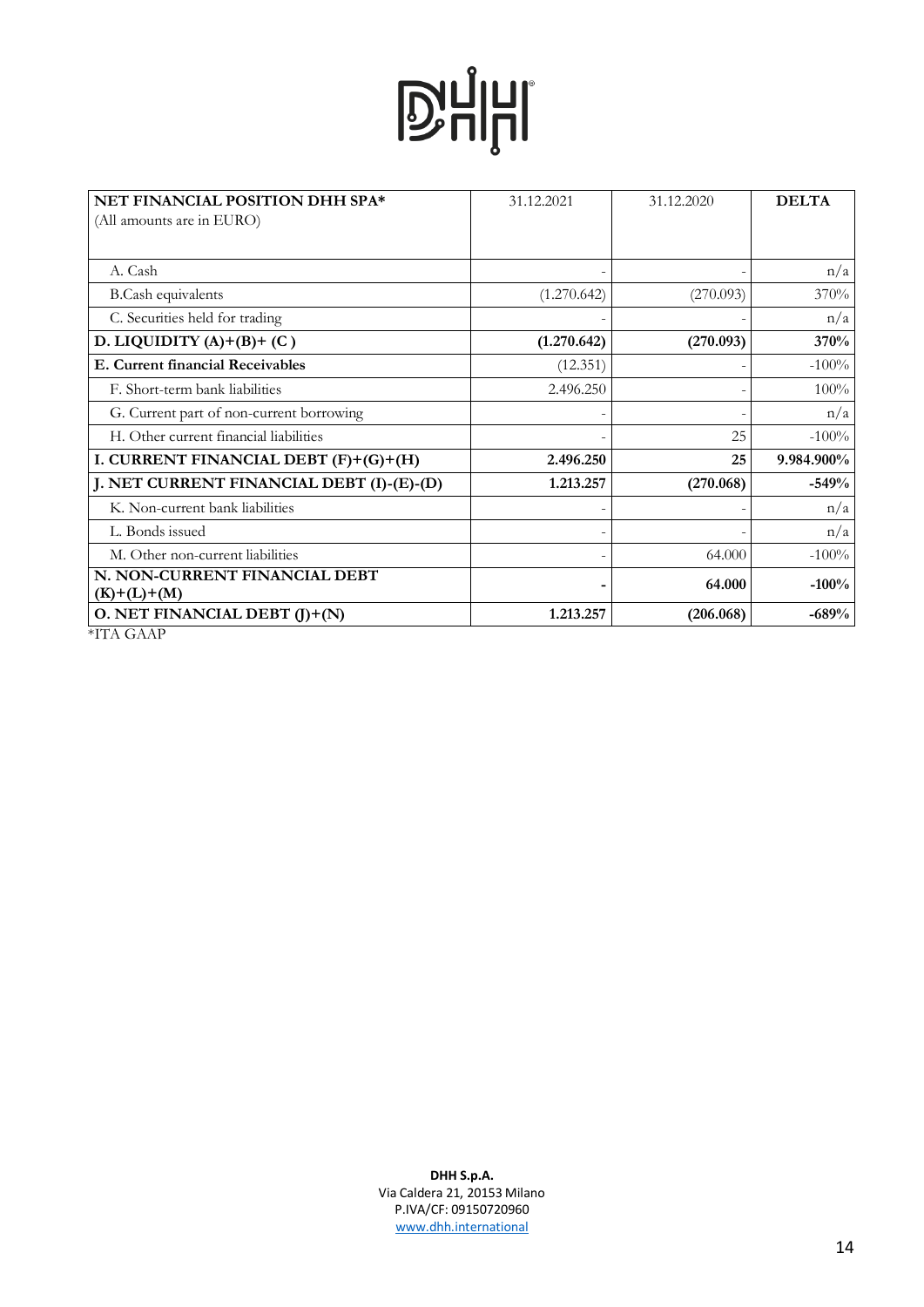| NET FINANCIAL POSITION DHH SPA*                | 31.12.2021  | 31.12.2020 | <b>DELTA</b> |
|------------------------------------------------|-------------|------------|--------------|
| (All amounts are in EURO)                      |             |            |              |
|                                                |             |            |              |
| A. Cash                                        |             |            | n/a          |
| <b>B.Cash equivalents</b>                      | (1.270.642) | (270.093)  | 370%         |
| C. Securities held for trading                 |             |            | n/a          |
| D. LIQUIDITY $(A)+(B)+(C)$                     | (1.270.642) | (270.093)  | 370%         |
| E. Current financial Receivables               | (12.351)    |            | $-100%$      |
| F. Short-term bank liabilities                 | 2.496.250   |            | 100%         |
| G. Current part of non-current borrowing       |             |            | n/a          |
| H. Other current financial liabilities         |             | 25         | $-100%$      |
| I. CURRENT FINANCIAL DEBT (F)+(G)+(H)          | 2.496.250   | 25         | 9.984.900%   |
| J. NET CURRENT FINANCIAL DEBT (I)-(E)-(D)      | 1.213.257   | (270.068)  | $-549%$      |
| K. Non-current bank liabilities                |             |            | n/a          |
| L. Bonds issued                                |             |            | n/a          |
| M. Other non-current liabilities               |             | 64.000     | $-100%$      |
| N. NON-CURRENT FINANCIAL DEBT<br>$(K)+(L)+(M)$ |             | 64.000     | $-100%$      |
| O. NET FINANCIAL DEBT $(J)+(N)$                | 1.213.257   | (206.068)  | $-689%$      |
| *ITA GAAP                                      |             |            |              |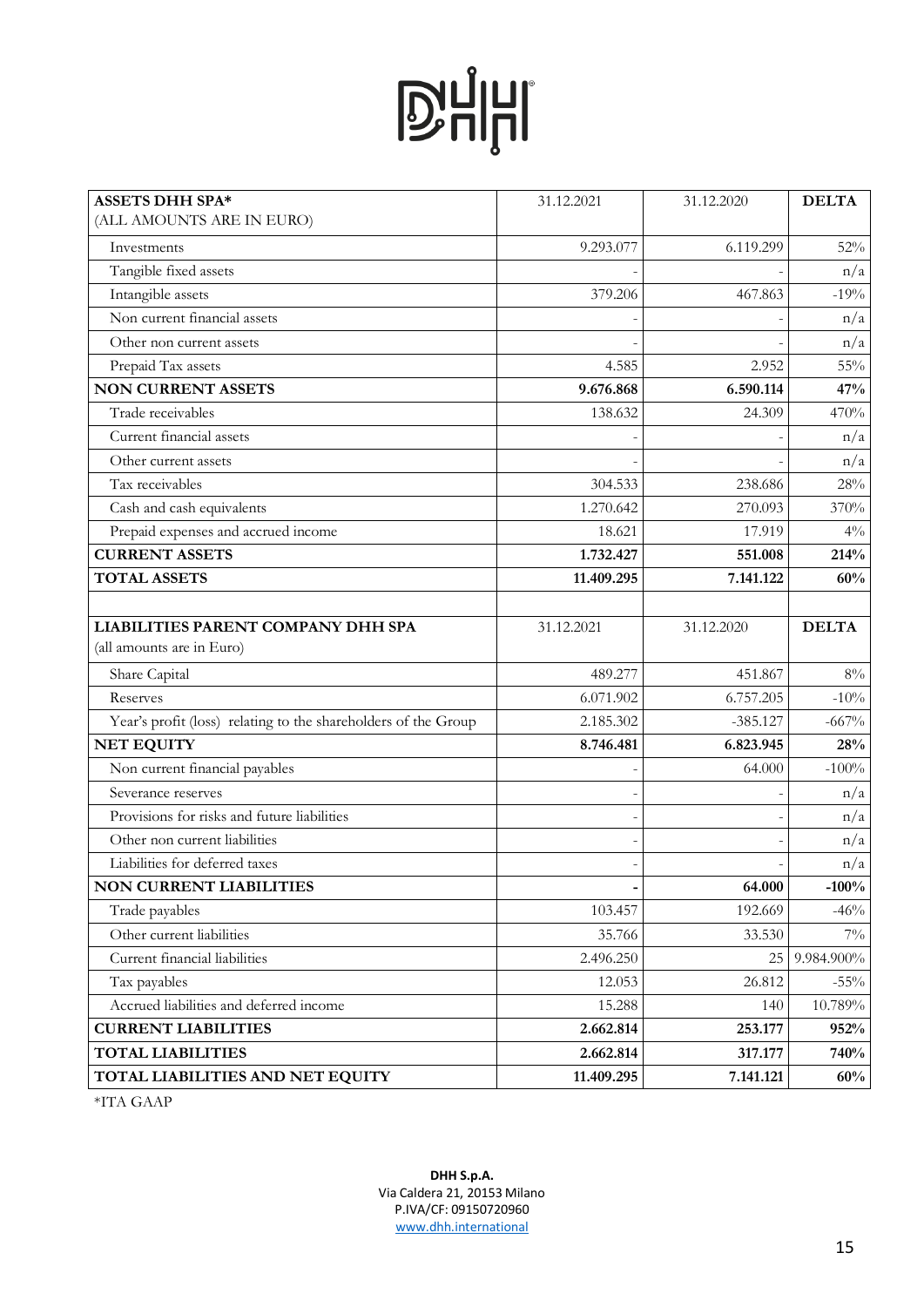| <b>ASSETS DHH SPA*</b>                                         | 31.12.2021 | 31.12.2020 | <b>DELTA</b> |
|----------------------------------------------------------------|------------|------------|--------------|
| (ALL AMOUNTS ARE IN EURO)                                      |            |            |              |
| Investments                                                    | 9.293.077  | 6.119.299  | 52%          |
| Tangible fixed assets                                          |            |            | n/a          |
| Intangible assets                                              | 379.206    | 467.863    | $-19%$       |
| Non current financial assets                                   |            |            | n/a          |
| Other non current assets                                       |            |            | n/a          |
| Prepaid Tax assets                                             | 4.585      | 2.952      | $55\%$       |
| <b>NON CURRENT ASSETS</b>                                      | 9.676.868  | 6.590.114  | 47%          |
| Trade receivables                                              | 138.632    | 24.309     | 470%         |
| Current financial assets                                       |            |            | n/a          |
| Other current assets                                           |            |            | n/a          |
| Tax receivables                                                | 304.533    | 238.686    | 28%          |
| Cash and cash equivalents                                      | 1.270.642  | 270.093    | 370%         |
| Prepaid expenses and accrued income                            | 18.621     | 17.919     | $4\%$        |
| <b>CURRENT ASSETS</b>                                          | 1.732.427  | 551.008    | 214%         |
| <b>TOTAL ASSETS</b>                                            | 11.409.295 | 7.141.122  | 60%          |
|                                                                |            |            |              |
| <b>LIABILITIES PARENT COMPANY DHH SPA</b>                      | 31.12.2021 | 31.12.2020 | <b>DELTA</b> |
| (all amounts are in Euro)                                      |            |            |              |
| Share Capital                                                  | 489.277    | 451.867    | $8\%$        |
| Reserves                                                       | 6.071.902  | 6.757.205  | $-10%$       |
| Year's profit (loss) relating to the shareholders of the Group | 2.185.302  | $-385.127$ | $-667%$      |
| <b>NET EQUITY</b>                                              | 8.746.481  | 6.823.945  | 28%          |
| Non current financial payables                                 |            | 64.000     | $-100\%$     |
| Severance reserves                                             |            |            | n/a          |
| Provisions for risks and future liabilities                    |            |            | n/a          |
| Other non current liabilities                                  |            |            | n/a          |
| Liabilities for deferred taxes                                 |            |            | n/a          |
| <b>NON CURRENT LIABILITIES</b>                                 |            | 64.000     | $-100%$      |
| Trade payables                                                 | 103.457    | 192.669    | $-46%$       |
| Other current liabilities                                      | 35.766     | 33.530     | $7\%$        |
| Current financial liabilities                                  | 2.496.250  | 25         | 9.984.900%   |
| Tax payables                                                   | 12.053     | 26.812     | $-55\%$      |
| Accrued liabilities and deferred income                        | 15.288     | 140        | 10.789%      |
| <b>CURRENT LIABILITIES</b>                                     | 2.662.814  | 253.177    | 952%         |
| <b>TOTAL LIABILITIES</b>                                       | 2.662.814  | 317.177    | 740%         |
| TOTAL LIABILITIES AND NET EQUITY                               | 11.409.295 | 7.141.121  | 60%          |

\*ITA GAAP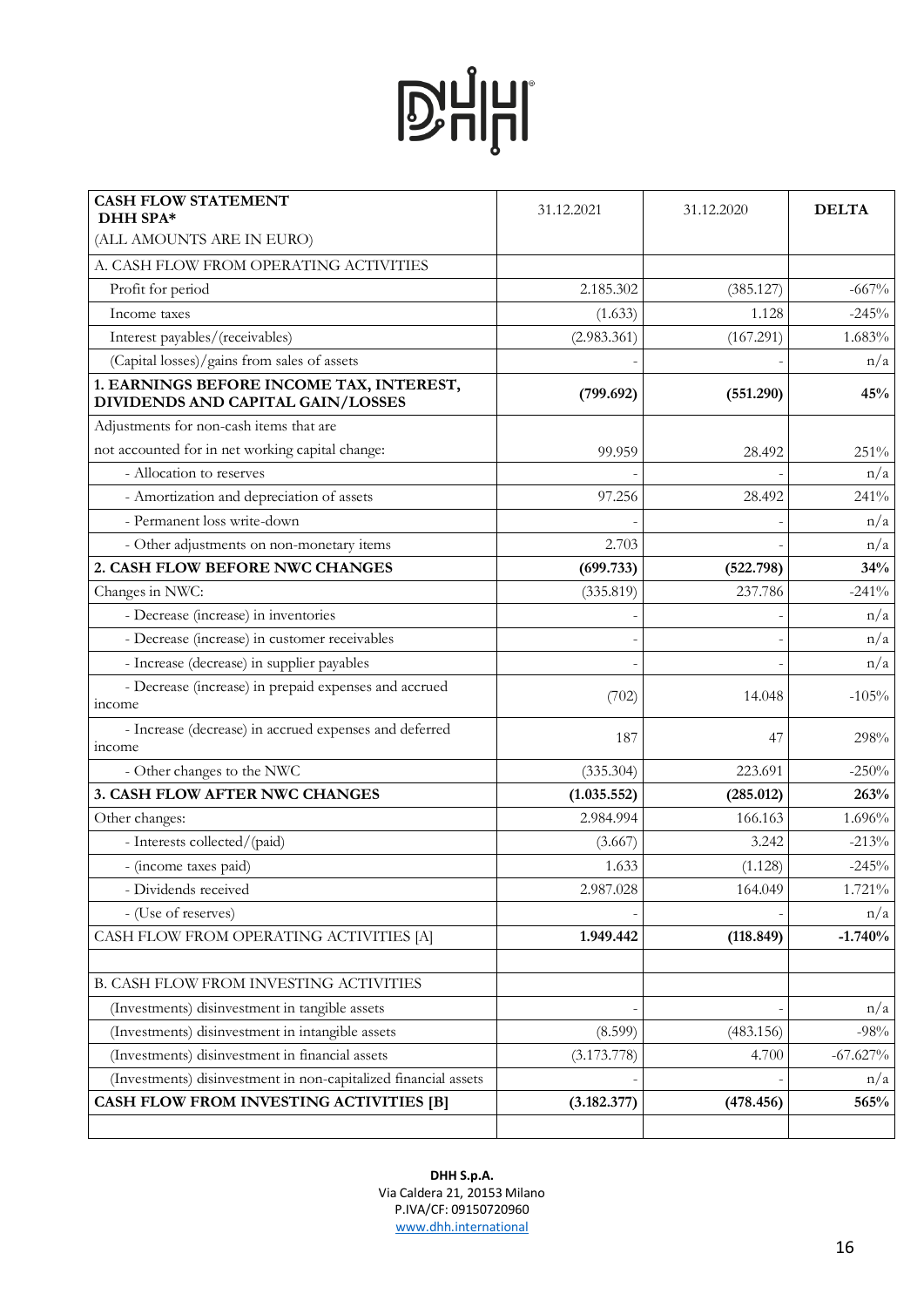| <b>CASH FLOW STATEMENT</b><br>DHH SPA*                                        | 31.12.2021  | 31.12.2020 | <b>DELTA</b> |
|-------------------------------------------------------------------------------|-------------|------------|--------------|
| (ALL AMOUNTS ARE IN EURO)                                                     |             |            |              |
| A. CASH FLOW FROM OPERATING ACTIVITIES                                        |             |            |              |
| Profit for period                                                             | 2.185.302   | (385.127)  | $-667%$      |
| Income taxes                                                                  | (1.633)     | 1.128      | $-245%$      |
| Interest payables/(receivables)                                               | (2.983.361) | (167.291)  | 1.683%       |
| (Capital losses)/gains from sales of assets                                   |             |            | n/a          |
| 1. EARNINGS BEFORE INCOME TAX, INTEREST,<br>DIVIDENDS AND CAPITAL GAIN/LOSSES | (799.692)   | (551.290)  | 45%          |
| Adjustments for non-cash items that are                                       |             |            |              |
| not accounted for in net working capital change:                              | 99.959      | 28.492     | 251%         |
| - Allocation to reserves                                                      |             |            | n/a          |
| - Amortization and depreciation of assets                                     | 97.256      | 28.492     | 241%         |
| - Permanent loss write-down                                                   |             |            | n/a          |
| - Other adjustments on non-monetary items                                     | 2.703       |            | n/a          |
| 2. CASH FLOW BEFORE NWC CHANGES                                               | (699.733)   | (522.798)  | 34%          |
| Changes in NWC:                                                               | (335.819)   | 237.786    | $-241%$      |
| - Decrease (increase) in inventories                                          |             |            | n/a          |
| - Decrease (increase) in customer receivables                                 |             |            | n/a          |
| - Increase (decrease) in supplier payables                                    |             |            | n/a          |
| - Decrease (increase) in prepaid expenses and accrued<br><i>income</i>        | (702)       | 14.048     | $-105%$      |
| - Increase (decrease) in accrued expenses and deferred<br>income              | 187         | 47         | 298%         |
| - Other changes to the NWC                                                    | (335.304)   | 223.691    | $-250%$      |
| 3. CASH FLOW AFTER NWC CHANGES                                                | (1.035.552) | (285.012)  | 263%         |
| Other changes:                                                                | 2.984.994   | 166.163    | 1.696%       |
| - Interests collected/(paid)                                                  | (3.667)     | 3.242      | $-213%$      |
| - (income taxes paid)                                                         | 1.633       | (1.128)    | $-245%$      |
| - Dividends received                                                          | 2.987.028   | 164.049    | 1.721%       |
| - (Use of reserves)                                                           |             |            | n/a          |
| CASH FLOW FROM OPERATING ACTIVITIES [A]                                       | 1.949.442   | (118.849)  | $-1.740%$    |
|                                                                               |             |            |              |
| <b>B. CASH FLOW FROM INVESTING ACTIVITIES</b>                                 |             |            |              |
| (Investments) disinvestment in tangible assets                                |             |            | n/a          |
| (Investments) disinvestment in intangible assets                              | (8.599)     | (483.156)  | $-98%$       |
| (Investments) disinvestment in financial assets                               | (3.173.778) | 4.700      | $-67.627\%$  |
| (Investments) disinvestment in non-capitalized financial assets               |             |            | n/a          |
| CASH FLOW FROM INVESTING ACTIVITIES [B]                                       | (3.182.377) | (478.456)  | 565%         |